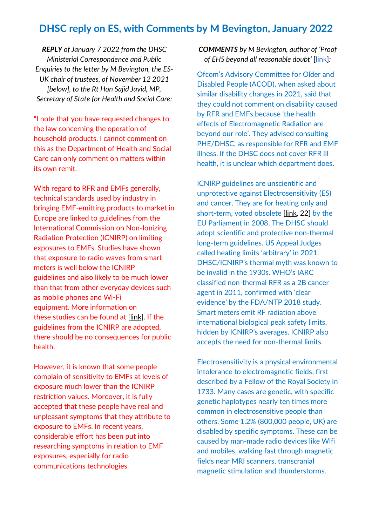## **DHSC reply on ES, with Comments by M Bevington, January 2022**

*REPLY of January 7 2022 from the DHSC Ministerial Correspondence and Public Enquiries to the letter by M Bevington, the ES-UK chair of trustees, of November 12 2021 [below], to the Rt Hon Sajid Javid, MP, Secretary of State for Health and Social Care:*

"I note that you have requested changes to the law concerning the operation of household products. I cannot comment on this as the Department of Health and Social Care can only comment on matters within its own remit.

With regard to RFR and EMFs generally, technical standards used by industry in bringing EMF-emitting products to market in Europe are linked to guidelines from the International Commission on Non-Ionizing Radiation Protection (ICNIRP) on limiting exposures to EMFs. Studies have shown that exposure to radio waves from smart meters is well below the ICNIRP guidelines and also likely to be much lower than that from other everyday devices such as mobile phones and Wi-Fi equipment. More information on these studies can be found at [\[link\]](http://www.gov.uk/government/publications/smart-meters-radio-waves-and-health/smart-meters-radio-waves-and-health). If the guidelines from the ICNIRP are adopted, there should be no consequences for public health.

However, it is known that some people complain of sensitivity to EMFs at levels of exposure much lower than the ICNIRP restriction values. Moreover, it is fully accepted that these people have real and unpleasant symptoms that they attribute to exposure to EMFs. In recent years, considerable effort has been put into researching symptoms in relation to EMF exposures, especially for radio communications technologies.

*COMMENTS by M Bevington, author of 'Proof of EHS beyond all reasonable doubt'* [\[link\]](http://www.es-uk.info/wp-content/uploads/2021/12/Bevington-Proof-of-EHS-beyond-all-reasonable-doubt-REH-2021.pdf)*:*

Ofcom's Advisory Committee for Older and Disabled People (ACOD), when asked about similar disability changes in 2021, said that they could not comment on disability caused by RFR and EMFs because 'the health effects of Electromagnetic Radiation are beyond our role'. They advised consulting PHE/DHSC, as responsible for RFR and EMF illness. If the DHSC does not cover RFR ill health, it is unclear which department does.

ICNIRP guidelines are unscientific and unprotective against Electrosensitivity (ES) and cancer. They are for heating only and short-term, voted obsolete [\[link,](https://www.europarl.europa.eu/doceo/document/TA-6-2008-0410_EN.html?redirect) 22] by the EU Parliament in 2008. The DHSC should adopt scientific and protective non-thermal long-term guidelines. US Appeal Judges called heating limits 'arbitrary' in 2021. DHSC/ICNIRP's thermal myth was known to be invalid in the 1930s. WHO's IARC classified non-thermal RFR as a 2B cancer agent in 2011, confirmed with 'clear evidence' by the FDA/NTP 2018 study. Smart meters emit RF radiation above international biological peak safety limits, hidden by ICNIRP's averages. ICNIRP also accepts the need for non-thermal limits.

Electrosensitivity is a physical environmental intolerance to electromagnetic fields, first described by a Fellow of the Royal Society in 1733. Many cases are genetic, with specific genetic haplotypes nearly ten times more common in electrosensitive people than others. Some 1.2% (800,000 people, UK) are disabled by specific symptoms. These can be caused by man-made radio devices like Wifi and mobiles, walking fast through magnetic fields near MRI scanners, transcranial magnetic stimulation and thunderstorms.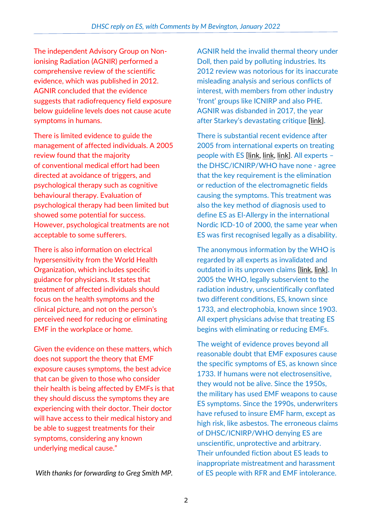The independent Advisory Group on Nonionising Radiation (AGNIR) performed a comprehensive review of the scientific evidence, which was published in 2012. AGNIR concluded that the evidence suggests that radiofrequency field exposure below guideline levels does not cause acute symptoms in humans.

There is limited evidence to guide the management of affected individuals. A 2005 review found that the majority of conventional medical effort had been directed at avoidance of triggers, and psychological therapy such as cognitive behavioural therapy. Evaluation of psychological therapy had been limited but showed some potential for success. However, psychological treatments are not acceptable to some sufferers.

There is also information on electrical hypersensitivity from the World Health Organization, which includes specific guidance for physicians. It states that treatment of affected individuals should focus on the health symptoms and the clinical picture, and not on the person's perceived need for reducing or eliminating EMF in the workplace or home.

Given the evidence on these matters, which does not support the theory that EMF exposure causes symptoms, the best advice that can be given to those who consider their health is being affected by EMFs is that they should discuss the symptoms they are experiencing with their doctor. Their doctor will have access to their medical history and be able to suggest treatments for their symptoms, considering any known underlying medical cause."

*With thanks for forwarding to Greg Smith MP.*

AGNIR held the invalid thermal theory under Doll, then paid by polluting industries. Its 2012 review was notorious for its inaccurate misleading analysis and serious conflicts of interest, with members from other industry 'front' groups like ICNIRP and also PHE. AGNIR was disbanded in 2017, the year after Starkey's devastating critique [\[link\]](https://www.degruyter.com/document/doi/10.1515/reveh-2016-0060/html).

There is substantial recent evidence after 2005 from international experts on treating people with ES [\[link,](https://pubmed.ncbi.nlm.nih.gov/27454111/) [link,](https://pubmed.ncbi.nlm.nih.gov/32168876/) [link\]](https://pubmed.ncbi.nlm.nih.gov/26613327/). All experts – the DHSC/ICNIRP/WHO have none - agree that the key requirement is the elimination or reduction of the electromagnetic fields causing the symptoms. This treatment was also the key method of diagnosis used to define ES as El-Allergy in the international Nordic ICD-10 of 2000, the same year when ES was first recognised legally as a disability.

The anonymous information by the WHO is regarded by all experts as invalidated and outdated in its unproven claims [\[link,](https://pubmed.ncbi.nlm.nih.gov/34298941/) [link\]](https://www.ncbi.nlm.nih.gov/labs/pmc/articles/PMC5504984/). In 2005 the WHO, legally subservient to the radiation industry, unscientifically conflated two different conditions, ES, known since 1733, and electrophobia, known since 1903. All expert physicians advise that treating ES begins with eliminating or reducing EMFs.

The weight of evidence proves beyond all reasonable doubt that EMF exposures cause the specific symptoms of ES, as known since 1733. If humans were not electrosensitive, they would not be alive. Since the 1950s, the military has used EMF weapons to cause ES symptoms. Since the 1990s, underwriters have refused to insure EMF harm, except as high risk, like asbestos. The erroneous claims of DHSC/ICNIRP/WHO denying ES are unscientific, unprotective and arbitrary. Their unfounded fiction about ES leads to inappropriate mistreatment and harassment of ES people with RFR and EMF intolerance.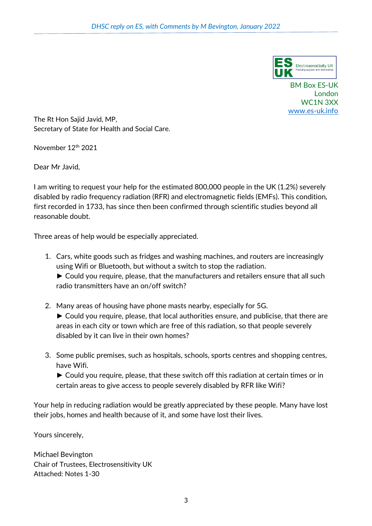

BM Box ES-UK London WC1N 3XX [www.es-uk.info](http://www.es-uk.info/)

The Rt Hon Sajid Javid, MP, Secretary of State for Health and Social Care.

November 12<sup>th</sup> 2021

Dear Mr Javid,

I am writing to request your help for the estimated 800,000 people in the UK (1.2%) severely disabled by radio frequency radiation (RFR) and electromagnetic fields (EMFs). This condition, first recorded in 1733, has since then been confirmed through scientific studies beyond all reasonable doubt.

Three areas of help would be especially appreciated.

- 1. Cars, white goods such as fridges and washing machines, and routers are increasingly using Wifi or Bluetooth, but without a switch to stop the radiation.
	- ► Could you require, please, that the manufacturers and retailers ensure that all such radio transmitters have an on/off switch?
- 2. Many areas of housing have phone masts nearby, especially for 5G. ► Could you require, please, that local authorities ensure, and publicise, that there are areas in each city or town which are free of this radiation, so that people severely disabled by it can live in their own homes?
- 3. Some public premises, such as hospitals, schools, sports centres and shopping centres, have Wifi.

► Could you require, please, that these switch off this radiation at certain times or in certain areas to give access to people severely disabled by RFR like Wifi?

Your help in reducing radiation would be greatly appreciated by these people. Many have lost their jobs, homes and health because of it, and some have lost their lives.

Yours sincerely,

Michael Bevington Chair of Trustees, Electrosensitivity UK Attached: Notes 1-30